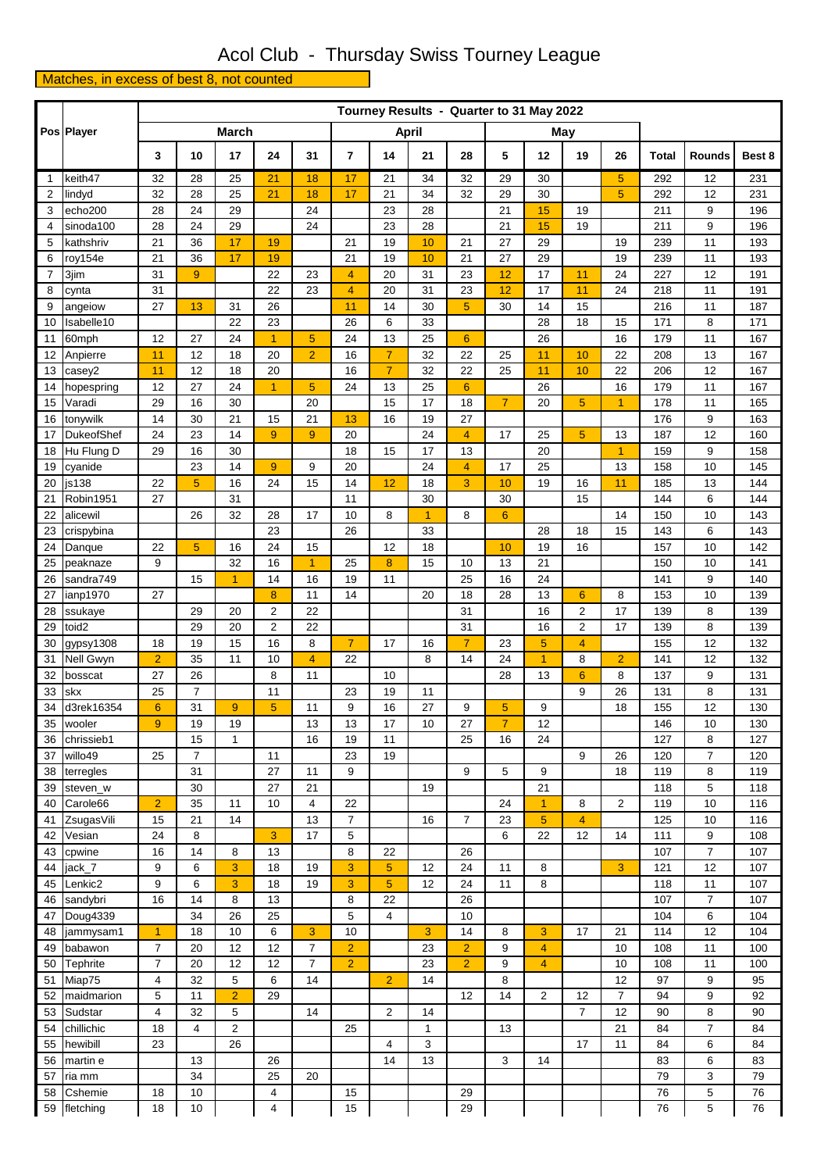## Acol Club - Thursday Swiss Tourney League

Matches, in excess of best 8, not counted

|             | Pos Player            |                |                |                |                     |                      |                         |                  |                 |                 |                | Tourney Results - Quarter to 31 May 2022 |                      |                |              |                      |            |
|-------------|-----------------------|----------------|----------------|----------------|---------------------|----------------------|-------------------------|------------------|-----------------|-----------------|----------------|------------------------------------------|----------------------|----------------|--------------|----------------------|------------|
|             |                       |                |                | <b>March</b>   |                     |                      | <b>April</b>            |                  |                 |                 |                | May                                      |                      |                |              |                      |            |
|             |                       | 3              | 10             | 17             | 24                  | 31                   | $\overline{\mathbf{r}}$ | 14               | 21              | 28              | 5              | 12                                       | 19                   | 26             | <b>Total</b> | <b>Rounds</b>        | Best 8     |
| $\mathbf 1$ | keith47               | 32             | 28             | 25             | 21                  | 18                   | 17                      | 21               | 34              | 32              | 29             | 30                                       |                      | 5              | 292          | 12                   | 231        |
| 2           | lindyd                | 32             | 28             | 25             | 21                  | 18                   | 17                      | 21               | 34              | 32              | 29             | 30                                       |                      | 5              | 292          | 12                   | 231        |
| 3           | echo <sub>200</sub>   | 28             | 24             | 29             |                     | 24                   |                         | 23               | 28              |                 | 21             | 15                                       | 19                   |                | 211          | 9                    | 196        |
| 4           | sinoda100             | 28             | 24             | 29             |                     | 24                   |                         | 23               | 28              |                 | 21             | 15                                       | 19                   |                | 211          | 9                    | 196        |
| 5           | kathshriv             | 21             | 36             | 17             | 19                  |                      | 21                      | 19               | 10              | 21              | 27             | 29                                       |                      | 19             | 239          | 11                   | 193        |
| 6           | roy154e               | 21             | 36             | 17             | 19                  |                      | 21                      | 19               | 10              | 21              | 27             | 29                                       |                      | 19             | 239          | 11                   | 193        |
| 7           | 3jim                  | 31             | 9              |                | 22                  | 23                   | $\overline{4}$          | 20               | 31              | 23              | 12             | 17                                       | 11                   | 24             | 227          | 12                   | 191        |
| 8<br>9      | cynta                 | 31<br>27       | 13             | 31             | 22                  | 23                   | $\overline{4}$<br>11    | 20<br>14         | 31<br>30        | 23<br>5         | 12<br>30       | 17<br>14                                 | 11<br>15             | 24             | 218<br>216   | 11<br>11             | 191        |
| 10          | angeiow<br>Isabelle10 |                |                | 22             | 26<br>23            |                      | 26                      | 6                | 33              |                 |                | 28                                       | 18                   | 15             | 171          | 8                    | 187<br>171 |
| 11          | 60mph                 | 12             | 27             | 24             | $\overline{1}$      | 5                    | 24                      | 13               | 25              | $6\overline{6}$ |                | 26                                       |                      | 16             | 179          | 11                   | 167        |
| 12          | Anpierre              | 11             | 12             | 18             | 20                  | $\overline{2}$       | 16                      | $\overline{7}$   | 32              | 22              | 25             | 11                                       | 10                   | 22             | 208          | 13                   | 167        |
| 13          | casey2                | 11             | 12             | 18             | 20                  |                      | 16                      | $\overline{7}$   | 32              | 22              | 25             | 11                                       | 10                   | 22             | 206          | 12                   | 167        |
| 14          | hopespring            | 12             | 27             | 24             | 1                   | 5                    | 24                      | 13               | 25              | $6\phantom{1}6$ |                | 26                                       |                      | 16             | 179          | 11                   | 167        |
| 15          | Varadi                | 29             | 16             | 30             |                     | 20                   |                         | 15               | 17              | 18              | $\overline{7}$ | 20                                       | 5                    | $\mathbf{1}$   | 178          | 11                   | 165        |
| 16          | tonywilk              | 14             | 30             | 21             | 15                  | 21                   | 13                      | 16               | 19              | 27              |                |                                          |                      |                | 176          | 9                    | 163        |
| 17          | DukeofShef            | 24             | 23             | 14             | 9                   | $\overline{9}$       | 20                      |                  | 24              | $\overline{4}$  | 17             | 25                                       | 5                    | 13             | 187          | 12                   | 160        |
| 18          | Hu Flung D            | 29             | 16             | 30             |                     |                      | 18                      | 15               | 17              | 13              |                | 20                                       |                      | $\mathbf{1}$   | 159          | 9                    | 158        |
| 19          | cyanide               |                | 23             | 14             | 9                   | 9                    | 20                      |                  | 24              | 4               | 17             | 25                                       |                      | 13             | 158          | 10                   | 145        |
| 20          | js138                 | 22             | 5              | 16             | 24                  | 15                   | 14                      | 12               | 18              | 3               | 10             | 19                                       | 16                   | 11             | 185          | 13                   | 144        |
| 21          | Robin1951             | 27             |                | 31             |                     |                      | 11                      |                  | 30              |                 | 30             |                                          | 15                   |                | 144          | 6                    | 144        |
| 22          | alicewil              |                | 26             | 32             | 28                  | 17                   | 10                      | 8                | $\overline{1}$  | 8               | $6\phantom{1}$ |                                          |                      | 14             | 150          | 10                   | 143        |
| 23          | crispybina            |                |                |                | 23                  |                      | 26                      |                  | 33              |                 |                | 28                                       | 18                   | 15             | 143          | 6                    | 143        |
| 24          | Danque                | 22             | 5              | 16             | 24                  | 15                   |                         | 12               | 18              |                 | 10             | 19                                       | 16                   |                | 157          | 10                   | 142        |
| 25          | peaknaze              | 9              |                | 32             | 16                  | $\blacktriangleleft$ | 25                      | 8                | 15              | 10              | 13             | 21                                       |                      |                | 150          | 10                   | 141        |
| 26          | sandra749             |                | 15             | $\mathbf{1}$   | 14                  | 16                   | 19                      | 11               |                 | 25              | 16             | 24                                       |                      |                | 141          | 9                    | 140        |
| 27          | ianp1970              | 27             | 29             | 20             | 8<br>$\overline{2}$ | 11<br>22             | 14                      |                  | 20              | 18<br>31        | 28             | 13<br>16                                 | $6\phantom{1}6$<br>2 | 8<br>17        | 153          | 10                   | 139        |
| 28<br>29    | ssukaye<br>toid2      |                | 29             | 20             | $\overline{2}$      | 22                   |                         |                  |                 | 31              |                | 16                                       | $\overline{2}$       | 17             | 139<br>139   | 8<br>8               | 139<br>139 |
| 30          | gypsy1308             | 18             | 19             | 15             | 16                  | 8                    | $\overline{7}$          | 17               | 16              | $\overline{7}$  | 23             | 5                                        | $\overline{4}$       |                | 155          | 12                   | 132        |
| 31          | Nell Gwyn             | $\overline{2}$ | 35             | 11             | 10                  | $\overline{4}$       | 22                      |                  | 8               | 14              | 24             | $\overline{1}$                           | 8                    | $\overline{2}$ | 141          | 12                   | 132        |
| 32          | bosscat               | 27             | 26             |                | 8                   | 11                   |                         | 10               |                 |                 | 28             | 13                                       | $6\phantom{1}$       | 8              | 137          | 9                    | 131        |
| 33          | skx                   | 25             | $\overline{7}$ |                | 11                  |                      | 23                      | 19               | 11              |                 |                |                                          | 9                    | 26             | 131          | 8                    | 131        |
|             | 34 d3rek16354         | $6\phantom{1}$ | 31             | 9              | 5 <sup>5</sup>      | 11                   | $\boldsymbol{9}$        | 16               | $\overline{27}$ | 9               | 5 <sup>5</sup> | $\boldsymbol{9}$                         |                      | 18             | 155          | 12                   | 130        |
|             | 35 wooler             | $\overline{9}$ | 19             | 19             |                     | 13                   | 13                      | 17               | 10              | 27              | $\overline{7}$ | 12                                       |                      |                | 146          | 10                   | 130        |
|             | 36 chrissieb1         |                | 15             | 1              |                     | 16                   | 19                      | 11               |                 | 25              | 16             | 24                                       |                      |                | 127          | 8                    | 127        |
| 37          | willo49               | 25             | $\overline{7}$ |                | 11                  |                      | 23                      | 19               |                 |                 |                |                                          | 9                    | 26             | 120          | $\overline{7}$       | 120        |
| 38          | terregles             |                | 31             |                | 27                  | 11                   | 9                       |                  |                 | 9               | 5              | 9                                        |                      | 18             | 119          | 8                    | 119        |
| 39          | steven_w              |                | 30             |                | 27                  | 21                   |                         |                  | 19              |                 |                | 21                                       |                      |                | 118          | 5                    | 118        |
| 40          | Carole66              | $\overline{2}$ | 35             | 11             | 10                  | 4                    | 22                      |                  |                 |                 | 24             | $\mathbf{1}$                             | 8                    | $\overline{2}$ | 119          | 10                   | 116        |
| 41          | ZsugasVili            | 15             | 21             | 14             |                     | 13                   | $\overline{7}$          |                  | 16              | $\overline{7}$  | 23             | $\overline{5}$                           | $\overline{4}$       |                | 125          | 10                   | 116        |
| 42          | Vesian                | 24             | 8              |                | 3                   | 17                   | 5                       |                  |                 |                 | 6              | 22                                       | 12                   | 14             | 111          | 9                    | 108        |
| 43          | cpwine                | 16             | 14             | 8              | 13                  |                      | 8                       | 22               |                 | 26              |                |                                          |                      |                | 107          | $\overline{7}$       | 107        |
| 44          | jack_7                | 9              | 6              | 3              | 18                  | 19                   | 3                       | 5                | 12              | 24              | 11             | 8                                        |                      | 3              | 121          | 12                   | 107        |
| 45<br>46    | Lenkic2<br>sandybri   | 9<br>16        | 6<br>14        | 3<br>8         | 18<br>13            | 19                   | 3<br>8                  | $\sqrt{5}$<br>22 | 12              | 24<br>26        | 11             | 8                                        |                      |                | 118<br>107   | 11<br>$\overline{7}$ | 107<br>107 |
| 47          | Doug4339              |                | 34             | 26             | 25                  |                      | 5                       | $\overline{4}$   |                 | 10              |                |                                          |                      |                | 104          | 6                    | 104        |
| 48          | jammysam1             | $\overline{1}$ | 18             | 10             | 6                   | 3                    | 10                      |                  | 3               | 14              | 8              | 3                                        | 17                   | 21             | 114          | 12                   | 104        |
| 49          | babawon               | $\overline{7}$ | 20             | 12             | 12                  | $\overline{7}$       | $\overline{2}$          |                  | 23              | $\overline{2}$  | 9              | 4                                        |                      | 10             | 108          | 11                   | 100        |
| 50          | <b>Tephrite</b>       | $\overline{7}$ | 20             | 12             | 12                  | $\overline{7}$       | $\overline{2}$          |                  | 23              | $\overline{2}$  | 9              | $\overline{4}$                           |                      | 10             | 108          | 11                   | 100        |
| 51          | Miap75                | 4              | 32             | 5              | 6                   | 14                   |                         | $\overline{2}$   | 14              |                 | 8              |                                          |                      | 12             | 97           | 9                    | 95         |
| 52          | maidmarion            | 5              | 11             | $\overline{2}$ | 29                  |                      |                         |                  |                 | 12              | 14             | $\overline{2}$                           | 12                   | $\overline{7}$ | 94           | 9                    | 92         |
| 53          | Sudstar               | 4              | 32             | 5              |                     | 14                   |                         | $\overline{2}$   | 14              |                 |                |                                          | $\overline{7}$       | 12             | 90           | 8                    | 90         |
| 54          | chillichic            | 18             | 4              | $\overline{2}$ |                     |                      | 25                      |                  | 1               |                 | 13             |                                          |                      | 21             | 84           | $\overline{7}$       | 84         |
| 55          | hewibill              | 23             |                | 26             |                     |                      |                         | 4                | 3               |                 |                |                                          | 17                   | 11             | 84           | 6                    | 84         |
| 56          | martin e              |                | 13             |                | 26                  |                      |                         | 14               | 13              |                 | 3              | 14                                       |                      |                | 83           | 6                    | 83         |
| 57          | ria mm                |                | 34             |                | 25                  | 20                   |                         |                  |                 |                 |                |                                          |                      |                | 79           | 3                    | 79         |
| 58          | Cshemie               | 18             | 10             |                | 4                   |                      | 15                      |                  |                 | 29              |                |                                          |                      |                | 76           | 5                    | 76         |
|             | 59 fletching          | 18             | $10$           |                | 4                   |                      | 15                      |                  |                 | 29              |                |                                          |                      |                | 76           | 5                    | 76         |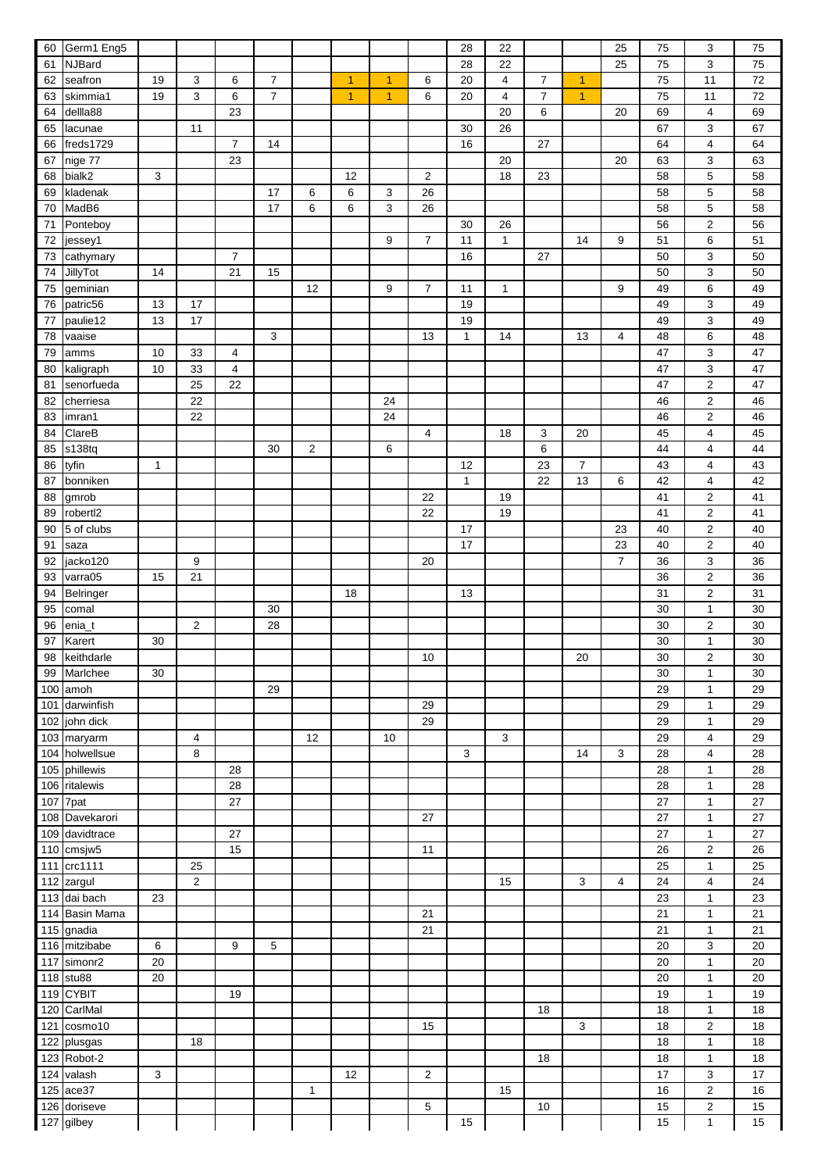| 60     | Germ1 Eng5               |              |                  |                |                |    |                      |    |                | 28           | 22 |                |                | 25             | 75 | 3                | 75 |
|--------|--------------------------|--------------|------------------|----------------|----------------|----|----------------------|----|----------------|--------------|----|----------------|----------------|----------------|----|------------------|----|
| 61     | <b>NJBard</b>            |              |                  |                |                |    |                      |    |                | 28           | 22 |                |                | 25             | 75 | 3                | 75 |
| 62     | seafron                  | 19           | 3                | 6              | $\overline{7}$ |    | $\blacktriangleleft$ | 1  | 6              | 20           | 4  | $\overline{7}$ | 1              |                | 75 | 11               | 72 |
| 63     | skimmia1                 | 19           | 3                | 6              | $\overline{7}$ |    | $\overline{1}$       | 1  | 6              | 20           | 4  | $\overline{7}$ | 1              |                | 75 | 11               | 72 |
| 64     | dellla88                 |              |                  | 23             |                |    |                      |    |                |              | 20 | 6              |                | 20             | 69 | 4                | 69 |
| 65     | lacunae                  |              | 11               |                |                |    |                      |    |                | 30           | 26 |                |                |                | 67 | 3                | 67 |
| 66     | freds1729                |              |                  | $\overline{7}$ | 14             |    |                      |    |                | 16           |    | 27             |                |                | 64 | $\overline{4}$   | 64 |
| 67     | nige 77                  |              |                  | 23             |                |    |                      |    |                |              | 20 |                |                | 20             | 63 | 3                | 63 |
| 68     | bialk2                   | 3            |                  |                |                |    | 12                   |    | 2              |              | 18 | 23             |                |                | 58 | $\sqrt{5}$       | 58 |
| 69     | kladenak                 |              |                  |                | 17             | 6  | 6                    | 3  | 26             |              |    |                |                |                | 58 | 5                | 58 |
| 70     | MadB6                    |              |                  |                | 17             | 6  | 6                    | 3  | 26             |              |    |                |                |                | 58 | $\mathbf 5$      | 58 |
| 71     | Ponteboy                 |              |                  |                |                |    |                      |    |                | 30           | 26 |                |                |                | 56 | $\boldsymbol{2}$ | 56 |
| 72     | jessey1                  |              |                  |                |                |    |                      | 9  | $\overline{7}$ | 11           | 1  |                | 14             | 9              | 51 | 6                | 51 |
| 73     | cathymary                |              |                  | $\overline{7}$ |                |    |                      |    |                | 16           |    | 27             |                |                | 50 | 3                | 50 |
| 74     | JillyTot                 | 14           |                  | 21             | 15             |    |                      |    |                |              |    |                |                |                | 50 | 3                | 50 |
| 75     | geminian                 |              |                  |                |                | 12 |                      | 9  | $\overline{7}$ | 11           | 1  |                |                | 9              | 49 | 6                | 49 |
| 76     | patric56                 | 13           | 17               |                |                |    |                      |    |                | 19           |    |                |                |                | 49 | $\mathsf 3$      | 49 |
| 77     | paulie12                 | 13           | 17               |                |                |    |                      |    |                | 19           |    |                |                |                | 49 | $\mathsf 3$      | 49 |
| 78     | vaaise                   |              |                  |                | 3              |    |                      |    | 13             | $\mathbf{1}$ | 14 |                | 13             | 4              | 48 | $\,6$            | 48 |
| 79     | amms                     | 10           | 33               | 4              |                |    |                      |    |                |              |    |                |                |                | 47 | 3                | 47 |
| 80     | kaligraph                | 10           | 33               | 4              |                |    |                      |    |                |              |    |                |                |                | 47 | 3                | 47 |
| 81     | senorfueda               |              | 25               | 22             |                |    |                      |    |                |              |    |                |                |                | 47 | $\boldsymbol{2}$ | 47 |
| 82     | cherriesa                |              | 22               |                |                |    |                      | 24 |                |              |    |                |                |                | 46 | $\boldsymbol{2}$ | 46 |
| 83     | imran1                   |              | 22               |                |                |    |                      | 24 |                |              |    |                |                |                | 46 | $\boldsymbol{2}$ | 46 |
|        | ClareB                   |              |                  |                |                |    |                      |    | 4              |              | 18 | 3              | 20             |                | 45 | 4                | 45 |
| 84     | s138tq                   |              |                  |                | 30             | 2  |                      | 6  |                |              |    | 6              |                |                | 44 | 4                | 44 |
| 85     |                          | $\mathbf{1}$ |                  |                |                |    |                      |    |                | 12           |    | 23             | $\overline{7}$ |                |    | 4                |    |
| 86     | tyfin                    |              |                  |                |                |    |                      |    |                |              |    |                |                |                | 43 |                  | 43 |
| 87     | bonniken                 |              |                  |                |                |    |                      |    |                | $\mathbf{1}$ |    | 22             | 13             | 6              | 42 | 4                | 42 |
| 88     | gmrob                    |              |                  |                |                |    |                      |    | 22             |              | 19 |                |                |                | 41 | $\boldsymbol{2}$ | 41 |
| 89     | robert <sub>12</sub>     |              |                  |                |                |    |                      |    | 22             |              | 19 |                |                |                | 41 | $\boldsymbol{2}$ | 41 |
| 90     | 5 of clubs               |              |                  |                |                |    |                      |    |                | 17           |    |                |                | 23             | 40 | $\boldsymbol{2}$ | 40 |
| 91     | saza                     |              |                  |                |                |    |                      |    |                | 17           |    |                |                | 23             | 40 | $\boldsymbol{2}$ | 40 |
| 92     | jacko120                 |              | 9                |                |                |    |                      |    | 20             |              |    |                |                | $\overline{7}$ | 36 | 3                | 36 |
| 93     | varra05                  | 15           | 21               |                |                |    |                      |    |                |              |    |                |                |                | 36 | $\boldsymbol{2}$ | 36 |
| 94     | Belringer                |              |                  |                |                |    | 18                   |    |                | 13           |    |                |                |                | 31 | $\boldsymbol{2}$ | 31 |
| 95     | comal                    |              |                  |                | 30             |    |                      |    |                |              |    |                |                |                | 30 | $\mathbf{1}$     | 30 |
| 96     | enia_t                   |              | $\boldsymbol{2}$ |                | 28             |    |                      |    |                |              |    |                |                |                | 30 | $\boldsymbol{2}$ | 30 |
| $97\,$ | Karert                   | $30\,$       |                  |                |                |    |                      |    |                |              |    |                |                |                | 30 | $\mathbf{1}$     | 30 |
| 98     | keithdarle               |              |                  |                |                |    |                      |    | 10             |              |    |                | 20             |                | 30 | $\boldsymbol{2}$ | 30 |
| 99     | Marlchee                 | 30           |                  |                |                |    |                      |    |                |              |    |                |                |                | 30 | $\mathbf{1}$     | 30 |
|        | 100 amoh                 |              |                  |                | 29             |    |                      |    |                |              |    |                |                |                | 29 | $\mathbf{1}$     | 29 |
| 101    | darwinfish               |              |                  |                |                |    |                      |    | 29             |              |    |                |                |                | 29 | $\mathbf{1}$     | 29 |
| 102    | john dick                |              |                  |                |                |    |                      |    | 29             |              |    |                |                |                | 29 | $\mathbf{1}$     | 29 |
| 103    | maryarm                  |              | $\overline{4}$   |                |                | 12 |                      | 10 |                |              | 3  |                |                |                | 29 | $\overline{4}$   | 29 |
| 104    | holwellsue               |              | 8                |                |                |    |                      |    |                | 3            |    |                | 14             | 3              | 28 | 4                | 28 |
| 105    | phillewis                |              |                  | 28             |                |    |                      |    |                |              |    |                |                |                | 28 | $\mathbf{1}$     | 28 |
| 106    | ritalewis                |              |                  | 28             |                |    |                      |    |                |              |    |                |                |                | 28 | $\mathbf{1}$     | 28 |
| 107    | 7pat                     |              |                  | 27             |                |    |                      |    |                |              |    |                |                |                | 27 | $\mathbf{1}$     | 27 |
| 108    | Davekarori               |              |                  |                |                |    |                      |    | 27             |              |    |                |                |                | 27 | $\mathbf{1}$     | 27 |
| 109    | davidtrace               |              |                  | 27             |                |    |                      |    |                |              |    |                |                |                | 27 | $\mathbf{1}$     | 27 |
| 110    | cmsjw5                   |              |                  | 15             |                |    |                      |    | 11             |              |    |                |                |                | 26 | $\overline{2}$   | 26 |
| 111    | crc1111                  |              | 25               |                |                |    |                      |    |                |              |    |                |                |                | 25 | $\mathbf{1}$     | 25 |
|        | $\overline{1}$ 12 zargul |              | $\overline{c}$   |                |                |    |                      |    |                |              | 15 |                | 3              | 4              | 24 | 4                | 24 |
| 113    | dai bach                 | 23           |                  |                |                |    |                      |    |                |              |    |                |                |                | 23 | $\mathbf{1}$     | 23 |
| 114    | <b>Basin Mama</b>        |              |                  |                |                |    |                      |    | 21             |              |    |                |                |                | 21 | $\mathbf{1}$     | 21 |
|        | 115 gnadia               |              |                  |                |                |    |                      |    | 21             |              |    |                |                |                | 21 | $\mathbf{1}$     | 21 |
|        | 116 mitzibabe            | 6            |                  | 9              | 5              |    |                      |    |                |              |    |                |                |                | 20 | 3                | 20 |
| 117    | simonr2                  | 20           |                  |                |                |    |                      |    |                |              |    |                |                |                | 20 | $\mathbf{1}$     | 20 |
|        | 118 stu88                | 20           |                  |                |                |    |                      |    |                |              |    |                |                |                | 20 | $\mathbf{1}$     | 20 |
|        | 119 CYBIT                |              |                  | 19             |                |    |                      |    |                |              |    |                |                |                | 19 | $\mathbf{1}$     | 19 |
| 120    | CarlMal                  |              |                  |                |                |    |                      |    |                |              |    | 18             |                |                | 18 | $\mathbf{1}$     | 18 |
| 121    | cosmo10                  |              |                  |                |                |    |                      |    | 15             |              |    |                | 3              |                | 18 | $\boldsymbol{2}$ | 18 |
| 122    | plusgas                  |              | 18               |                |                |    |                      |    |                |              |    |                |                |                | 18 | $\mathbf{1}$     | 18 |
|        | 123 Robot-2              |              |                  |                |                |    |                      |    |                |              |    | 18             |                |                | 18 | $\mathbf{1}$     | 18 |
| 124    | valash                   | 3            |                  |                |                |    | 12                   |    | $\overline{2}$ |              |    |                |                |                | 17 | 3                | 17 |
| 125    | ace37                    |              |                  |                |                | 1  |                      |    |                |              | 15 |                |                |                | 16 | $\boldsymbol{2}$ | 16 |
|        | 126 doriseve             |              |                  |                |                |    |                      |    | 5              |              |    | $10$           |                |                | 15 | $\mathbf 2$      | 15 |
|        | 127 gilbey               |              |                  |                |                |    |                      |    |                | 15           |    |                |                |                | 15 | $\mathbf{1}$     | 15 |